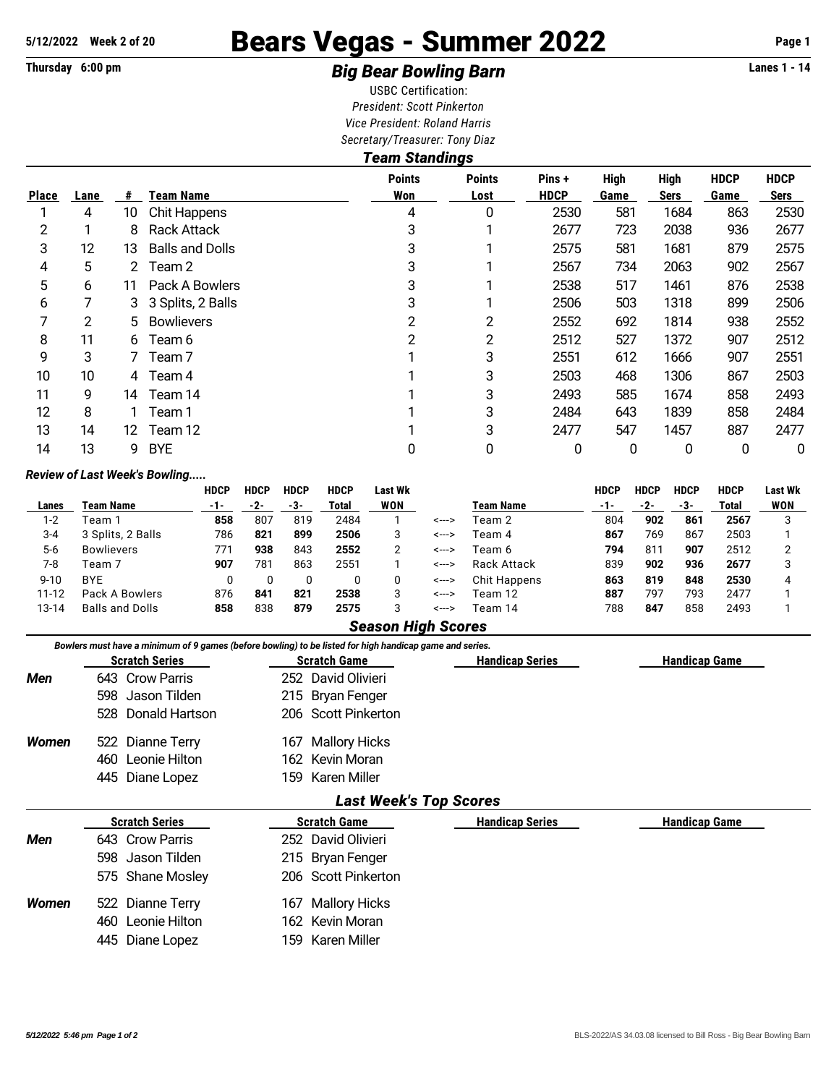## **5/12/2022 Week 2 of 20** Bears Vegas - Summer 2022 **Page 1**

## **Thursday 6:00 pm** *Big Bear Bowling Barn* **Lanes 1 - 14**

USBC Certification: *President: Scott Pinkerton Vice President: Roland Harris Secretary/Treasurer: Tony Diaz*

| <b>Team Standings</b> |      |     |                        |                      |                       |                       |                     |                            |                            |                     |  |  |  |
|-----------------------|------|-----|------------------------|----------------------|-----------------------|-----------------------|---------------------|----------------------------|----------------------------|---------------------|--|--|--|
| <b>Place</b>          | Lane | #   | <b>Team Name</b>       | <b>Points</b><br>Won | <b>Points</b><br>Lost | Pins +<br><b>HDCP</b> | <b>High</b><br>Game | <b>High</b><br><b>Sers</b> | <b>HDCP</b><br><b>Game</b> | <b>HDCP</b><br>Sers |  |  |  |
|                       | 4    | 10  | Chit Happens           | 4                    | 0                     | 2530                  | 581                 | 1684                       | 863                        | 2530                |  |  |  |
| 2                     |      | 8   | <b>Rack Attack</b>     | 3                    |                       | 2677                  | 723                 | 2038                       | 936                        | 2677                |  |  |  |
| 3                     | 12   | 13  | <b>Balls and Dolls</b> | 3                    |                       | 2575                  | 581                 | 1681                       | 879                        | 2575                |  |  |  |
| 4                     | 5    |     | 2 Team 2               | 3                    |                       | 2567                  | 734                 | 2063                       | 902                        | 2567                |  |  |  |
| 5                     | 6    | 11  | Pack A Bowlers         | 3                    |                       | 2538                  | 517                 | 1461                       | 876                        | 2538                |  |  |  |
| 6                     |      | 3   | 3 Splits, 2 Balls      | 3                    |                       | 2506                  | 503                 | 1318                       | 899                        | 2506                |  |  |  |
| 7                     | 2    | 5.  | <b>Bowlievers</b>      | 2                    | $\overline{2}$        | 2552                  | 692                 | 1814                       | 938                        | 2552                |  |  |  |
| 8                     | 11   | 6   | Team 6                 | 2                    | $\overline{2}$        | 2512                  | 527                 | 1372                       | 907                        | 2512                |  |  |  |
| 9                     | 3    |     | Team <sub>7</sub>      |                      | 3                     | 2551                  | 612                 | 1666                       | 907                        | 2551                |  |  |  |
| 10                    | 10   |     | 4 Team 4               |                      | 3                     | 2503                  | 468                 | 1306                       | 867                        | 2503                |  |  |  |
| 11                    | 9    | 14  | Team 14                |                      | 3                     | 2493                  | 585                 | 1674                       | 858                        | 2493                |  |  |  |
| 12                    | 8    |     | Team 1                 |                      | 3                     | 2484                  | 643                 | 1839                       | 858                        | 2484                |  |  |  |
| 13                    | 14   | 12. | Team 12                |                      | 3                     | 2477                  | 547                 | 1457                       | 887                        | 2477                |  |  |  |
| 14                    | 13   | 9   | <b>BYE</b>             | 0                    | 0                     | 0                     | 0                   | 0                          | 0                          | 0                   |  |  |  |
|                       |      |     |                        |                      |                       |                       |                     |                            |                            |                     |  |  |  |

## *Review of Last Week's Bowling.....*

|           |                        | <b>HDCP</b> | <b>HDCP</b> | HDCP | <b>HDCP</b> | Last Wk |       |                  | HDCP  | <b>HDCP</b> | <b>HDCP</b> | HDCP  | <b>Last Wk</b> |
|-----------|------------------------|-------------|-------------|------|-------------|---------|-------|------------------|-------|-------------|-------------|-------|----------------|
| Lanes     | Team Name              | -1-         | -2-         | -3-  | Total       | WON     |       | <b>Team Name</b> | $-1-$ | -2-         | -3-         | Total | <b>WON</b>     |
| 1-2       | Геаm 1                 | 858         | 807         | 819  | 2484        |         | <---> | Team 2           | 804   | 902         | 861         | 2567  |                |
| $3 - 4$   | 3 Splits, 2 Balls      | 786         | 821         | 899  | 2506        | 3       | <---> | Team 4           | 867   | 769         | 867         | 2503  |                |
| $5-6$     | <b>Bowlievers</b>      | 771         | 938         | 843  | 2552        |         | <---> | Team 6           | 794   | 811         | 907         | 2512  |                |
| 7-8       | Team 7                 | 907         | 781         | 863  | 2551        |         | <---> | Rack Attack      | 839   | 902         | 936         | 2677  |                |
| $9 - 10$  | <b>BYE</b>             |             |             |      |             |         | <---> | Chit Happens     | 863   | 819         | 848         | 2530  |                |
| $11 - 12$ | Pack A Bowlers         | 876         | 841         | 821  | 2538        | 3       | <---> | Team 12          | 887   | 797         | 793         | 2477  |                |
| 13-14     | <b>Balls and Dolls</b> | 858         | 838         | 879  | 2575        | 3       | <---> | Team 14          | 788   | 847         | 858         | 2493  |                |

## *Season High Scores*

|              |                       | Bowlers must have a minimum of 9 games (before bowling) to be listed for high handicap game and series. |                        |                      |
|--------------|-----------------------|---------------------------------------------------------------------------------------------------------|------------------------|----------------------|
|              | <b>Scratch Series</b> | <b>Scratch Game</b>                                                                                     | <b>Handicap Series</b> | <b>Handicap Game</b> |
| Men          | 643 Crow Parris       | 252 David Olivieri                                                                                      |                        |                      |
|              | 598 Jason Tilden      | 215 Bryan Fenger                                                                                        |                        |                      |
|              | 528 Donald Hartson    | 206 Scott Pinkerton                                                                                     |                        |                      |
| <b>Women</b> | 522 Dianne Terry      | Mallory Hicks<br>167                                                                                    |                        |                      |
|              | 460 Leonie Hilton     | 162 Kevin Moran                                                                                         |                        |                      |
|              | 445 Diane Lopez       | 159 Karen Miller                                                                                        |                        |                      |
|              |                       | <b>Last Week's Top Scores</b>                                                                           |                        |                      |
|              | <b>Scratch Series</b> | <b>Scratch Game</b>                                                                                     | <b>Handicap Series</b> | <b>Handicap Game</b> |
| Men          | 643 Crow Parris       | 252 David Olivieri                                                                                      |                        |                      |
|              | 598 Jason Tilden      | 215 Bryan Fenger                                                                                        |                        |                      |
|              | 575 Shane Mosley      | 206 Scott Pinkerton                                                                                     |                        |                      |